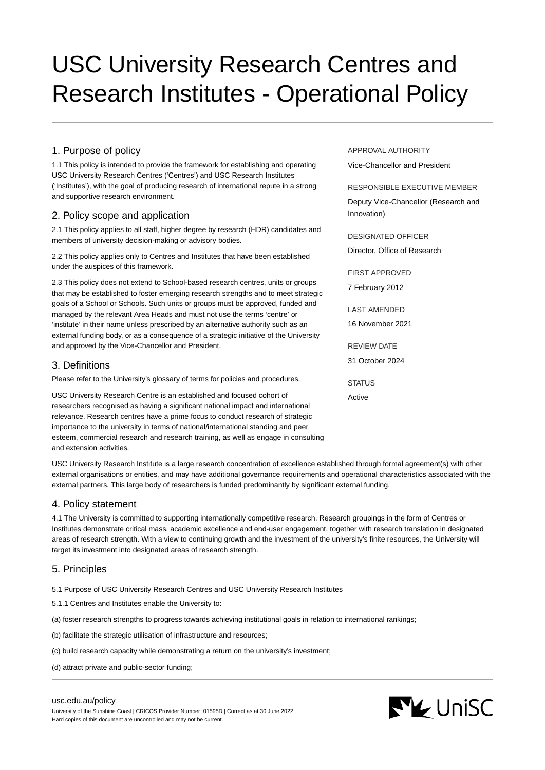# USC University Research Centres and Research Institutes - Operational Policy

# 1. Purpose of policy

1.1 This policy is intended to provide the framework for establishing and operating USC University Research Centres ('Centres') and USC Research Institutes ('Institutes'), with the goal of producing research of international repute in a strong and supportive research environment.

## 2. Policy scope and application

2.1 This policy applies to all staff, higher degree by research (HDR) candidates and members of university decision-making or advisory bodies.

2.2 This policy applies only to Centres and Institutes that have been established under the auspices of this framework.

2.3 This policy does not extend to School-based research centres, units or groups that may be established to foster emerging research strengths and to meet strategic goals of a School or Schools. Such units or groups must be approved, funded and managed by the relevant Area Heads and must not use the terms 'centre' or 'institute' in their name unless prescribed by an alternative authority such as an external funding body, or as a consequence of a strategic initiative of the University and approved by the Vice-Chancellor and President.

## 3. Definitions

Please refer to the University's glossary of terms for policies and procedures.

USC University Research Centre is an established and focused cohort of researchers recognised as having a significant national impact and international relevance. Research centres have a prime focus to conduct research of strategic importance to the university in terms of national/international standing and peer esteem, commercial research and research training, as well as engage in consulting and extension activities.

USC University Research Institute is a large research concentration of excellence established through formal agreement(s) with other external organisations or entities, and may have additional governance requirements and operational characteristics associated with the external partners. This large body of researchers is funded predominantly by significant external funding.

## 4. Policy statement

4.1 The University is committed to supporting internationally competitive research. Research groupings in the form of Centres or Institutes demonstrate critical mass, academic excellence and end-user engagement, together with research translation in designated areas of research strength. With a view to continuing growth and the investment of the university's finite resources, the University will target its investment into designated areas of research strength.

## 5. Principles

5.1 Purpose of USC University Research Centres and USC University Research Institutes

- 5.1.1 Centres and Institutes enable the University to:
- (a) foster research strengths to progress towards achieving institutional goals in relation to international rankings;
- (b) facilitate the strategic utilisation of infrastructure and resources;
- (c) build research capacity while demonstrating a return on the university's investment;
- (d) attract private and public-sector funding;

#### [usc.edu.au/policy](https://www.usc.edu.au/policy)

University of the Sunshine Coast | CRICOS Provider Number: 01595D | Correct as at 30 June 2022 Hard copies of this document are uncontrolled and may not be current.

APPROVAL AUTHORITY Vice-Chancellor and President

RESPONSIBLE EXECUTIVE MEMBER

Deputy Vice-Chancellor (Research and Innovation)

DESIGNATED OFFICER

Director, Office of Research

FIRST APPROVED

7 February 2012

LAST AMENDED

16 November 2021

REVIEW DATE

31 October 2024

**STATUS** Active

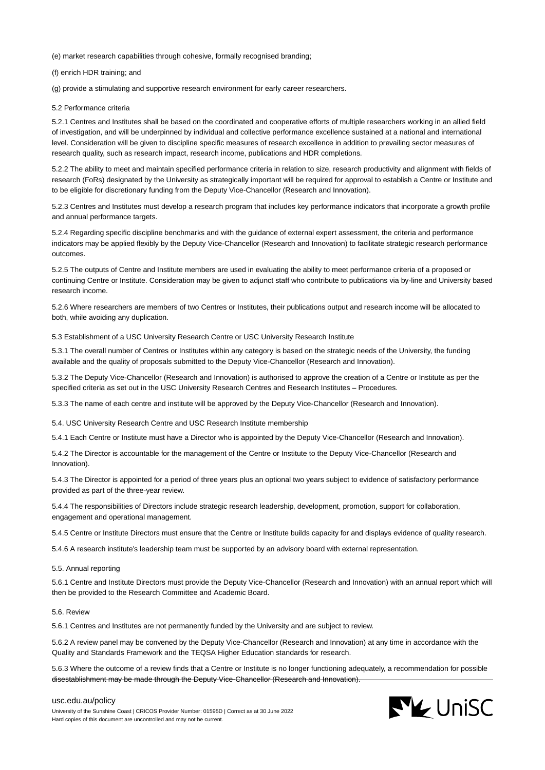(e) market research capabilities through cohesive, formally recognised branding;

(f) enrich HDR training; and

(g) provide a stimulating and supportive research environment for early career researchers.

#### 5.2 Performance criteria

5.2.1 Centres and Institutes shall be based on the coordinated and cooperative efforts of multiple researchers working in an allied field of investigation, and will be underpinned by individual and collective performance excellence sustained at a national and international level. Consideration will be given to discipline specific measures of research excellence in addition to prevailing sector measures of research quality, such as research impact, research income, publications and HDR completions.

5.2.2 The ability to meet and maintain specified performance criteria in relation to size, research productivity and alignment with fields of research (FoRs) designated by the University as strategically important will be required for approval to establish a Centre or Institute and to be eligible for discretionary funding from the Deputy Vice-Chancellor (Research and Innovation).

5.2.3 Centres and Institutes must develop a research program that includes key performance indicators that incorporate a growth profile and annual performance targets.

5.2.4 Regarding specific discipline benchmarks and with the guidance of external expert assessment, the criteria and performance indicators may be applied flexibly by the Deputy Vice-Chancellor (Research and Innovation) to facilitate strategic research performance outcomes.

5.2.5 The outputs of Centre and Institute members are used in evaluating the ability to meet performance criteria of a proposed or continuing Centre or Institute. Consideration may be given to adjunct staff who contribute to publications via by-line and University based research income.

5.2.6 Where researchers are members of two Centres or Institutes, their publications output and research income will be allocated to both, while avoiding any duplication.

5.3 Establishment of a USC University Research Centre or USC University Research Institute

5.3.1 The overall number of Centres or Institutes within any category is based on the strategic needs of the University, the funding available and the quality of proposals submitted to the Deputy Vice-Chancellor (Research and Innovation).

5.3.2 The Deputy Vice-Chancellor (Research and Innovation) is authorised to approve the creation of a Centre or Institute as per the specified criteria as set out in the USC University Research Centres and Research Institutes – Procedures.

5.3.3 The name of each centre and institute will be approved by the Deputy Vice-Chancellor (Research and Innovation).

5.4. USC University Research Centre and USC Research Institute membership

5.4.1 Each Centre or Institute must have a Director who is appointed by the Deputy Vice-Chancellor (Research and Innovation).

5.4.2 The Director is accountable for the management of the Centre or Institute to the Deputy Vice-Chancellor (Research and Innovation).

5.4.3 The Director is appointed for a period of three years plus an optional two years subject to evidence of satisfactory performance provided as part of the three-year review.

5.4.4 The responsibilities of Directors include strategic research leadership, development, promotion, support for collaboration, engagement and operational management.

5.4.5 Centre or Institute Directors must ensure that the Centre or Institute builds capacity for and displays evidence of quality research.

5.4.6 A research institute's leadership team must be supported by an advisory board with external representation.

#### 5.5. Annual reporting

5.6.1 Centre and Institute Directors must provide the Deputy Vice-Chancellor (Research and Innovation) with an annual report which will then be provided to the Research Committee and Academic Board.

#### 5.6. Review

5.6.1 Centres and Institutes are not permanently funded by the University and are subject to review.

5.6.2 A review panel may be convened by the Deputy Vice-Chancellor (Research and Innovation) at any time in accordance with the Quality and Standards Framework and the TEQSA Higher Education standards for research.

5.6.3 Where the outcome of a review finds that a Centre or Institute is no longer functioning adequately, a recommendation for possible disestablishment may be made through the Deputy Vice-Chancellor (Research and Innovation).

**NY UniSC** 

#### [usc.edu.au/policy](https://www.usc.edu.au/policy)